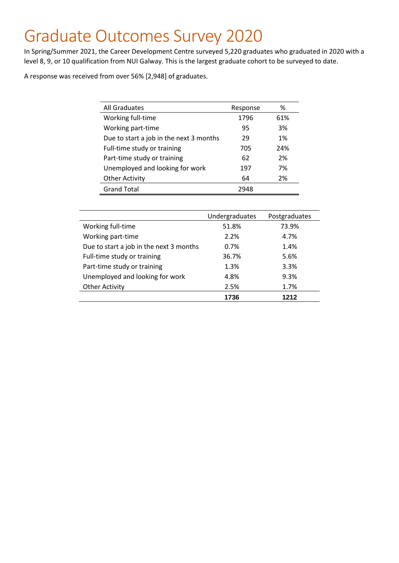## Graduate Outcomes Survey 2020

In Spring/Summer 2021, the Career Development Centre surveyed 5,220 graduates who graduated in 2020 with a level 8, 9, or 10 qualification from NUI Galway. This is the largest graduate cohort to be surveyed to date.

A response was received from over 56% [2,948] of graduates.

| All Graduates                           | Response | %   |
|-----------------------------------------|----------|-----|
| Working full-time                       | 1796     | 61% |
| Working part-time                       | 95       | 3%  |
| Due to start a job in the next 3 months | 29       | 1%  |
| Full-time study or training             | 705      | 24% |
| Part-time study or training             | 62       | 2%  |
| Unemployed and looking for work         | 197      | 7%  |
| <b>Other Activity</b>                   | 64       | 2%  |
| <b>Grand Total</b>                      | 2948     |     |

|                                         | Undergraduates | Postgraduates |
|-----------------------------------------|----------------|---------------|
| Working full-time                       | 51.8%          | 73.9%         |
| Working part-time                       | 2.2%           | 4.7%          |
| Due to start a job in the next 3 months | 0.7%           | 1.4%          |
| Full-time study or training             | 36.7%          | 5.6%          |
| Part-time study or training             | 1.3%           | 3.3%          |
| Unemployed and looking for work         | 4.8%           | 9.3%          |
| <b>Other Activity</b>                   | 2.5%           | 1.7%          |
|                                         | 1736           | 1212          |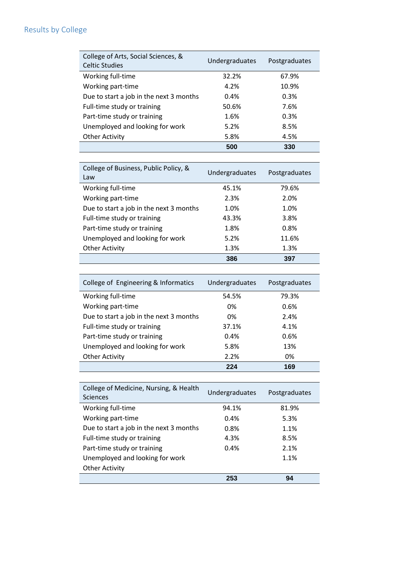## Results by College

| College of Arts, Social Sciences, &<br><b>Celtic Studies</b> | Undergraduates | Postgraduates |
|--------------------------------------------------------------|----------------|---------------|
| Working full-time                                            | 32.2%          | 67.9%         |
| Working part-time                                            | 4.2%           | 10.9%         |
| Due to start a job in the next 3 months                      | 0.4%           | 0.3%          |
| Full-time study or training                                  | 50.6%          | 7.6%          |
| Part-time study or training                                  | 1.6%           | 0.3%          |
| Unemployed and looking for work                              | 5.2%           | 8.5%          |
| <b>Other Activity</b>                                        | 5.8%           | 4.5%          |
|                                                              | 500            | 330           |

| College of Business, Public Policy, &<br>Law | Undergraduates | Postgraduates |
|----------------------------------------------|----------------|---------------|
| Working full-time                            | 45.1%          | 79.6%         |
| Working part-time                            | 2.3%           | 2.0%          |
| Due to start a job in the next 3 months      | 1.0%           | 1.0%          |
| Full-time study or training                  | 43.3%          | 3.8%          |
| Part-time study or training                  | 1.8%           | 0.8%          |
| Unemployed and looking for work              | 5.2%           | 11.6%         |
| <b>Other Activity</b>                        | 1.3%           | 1.3%          |
|                                              | 386            | 397           |

| College of Engineering & Informatics    | Undergraduates | Postgraduates |
|-----------------------------------------|----------------|---------------|
| Working full-time                       | 54.5%          | 79.3%         |
| Working part-time                       | 0%             | 0.6%          |
| Due to start a job in the next 3 months | 0%             | 2.4%          |
| Full-time study or training             | 37.1%          | 4.1%          |
| Part-time study or training             | 0.4%           | 0.6%          |
| Unemployed and looking for work         | 5.8%           | 13%           |
| <b>Other Activity</b>                   | 2.2%           | 0%            |
|                                         | 224            | 169           |

| College of Medicine, Nursing, & Health<br><b>Sciences</b> | Undergraduates | Postgraduates |
|-----------------------------------------------------------|----------------|---------------|
| Working full-time                                         | 94.1%          | 81.9%         |
| Working part-time                                         | 0.4%           | 5.3%          |
| Due to start a job in the next 3 months                   | 0.8%           | 1.1%          |
| Full-time study or training                               | 4.3%           | 8.5%          |
| Part-time study or training                               | 0.4%           | 2.1%          |
| Unemployed and looking for work                           |                | 1.1%          |
| <b>Other Activity</b>                                     |                |               |
|                                                           | 253            | 94            |